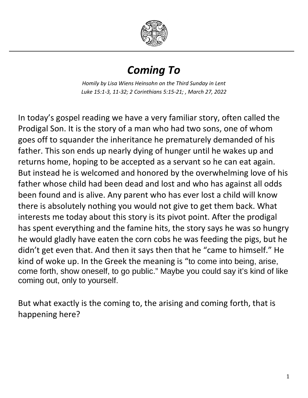

## *Coming To*

*Homily by Lisa Wiens Heinsohn on the Third Sunday in Lent Luke 15:1-3, 11-32; 2 Corinthians 5:15-21; , March 27, 2022*

In today's gospel reading we have a very familiar story, often called the Prodigal Son. It is the story of a man who had two sons, one of whom goes off to squander the inheritance he prematurely demanded of his father. This son ends up nearly dying of hunger until he wakes up and returns home, hoping to be accepted as a servant so he can eat again. But instead he is welcomed and honored by the overwhelming love of his father whose child had been dead and lost and who has against all odds been found and is alive. Any parent who has ever lost a child will know there is absolutely nothing you would not give to get them back. What interests me today about this story is its pivot point. After the prodigal has spent everything and the famine hits, the story says he was so hungry he would gladly have eaten the corn cobs he was feeding the pigs, but he didn't get even that. And then it says then that he "came to himself." He kind of woke up. In the Greek the meaning is "to come into being, arise, come forth, show oneself, to go public." Maybe you could say it's kind of like coming out, only to yourself.

But what exactly is the coming to, the arising and coming forth, that is happening here?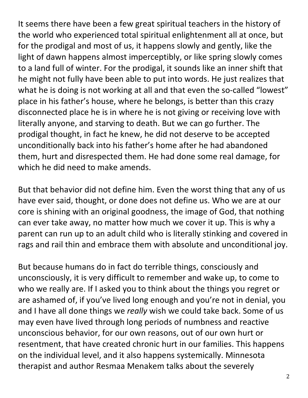It seems there have been a few great spiritual teachers in the history of the world who experienced total spiritual enlightenment all at once, but for the prodigal and most of us, it happens slowly and gently, like the light of dawn happens almost imperceptibly, or like spring slowly comes to a land full of winter. For the prodigal, it sounds like an inner shift that he might not fully have been able to put into words. He just realizes that what he is doing is not working at all and that even the so-called "lowest" place in his father's house, where he belongs, is better than this crazy disconnected place he is in where he is not giving or receiving love with literally anyone, and starving to death. But we can go further. The prodigal thought, in fact he knew, he did not deserve to be accepted unconditionally back into his father's home after he had abandoned them, hurt and disrespected them. He had done some real damage, for which he did need to make amends.

But that behavior did not define him. Even the worst thing that any of us have ever said, thought, or done does not define us. Who we are at our core is shining with an original goodness, the image of God, that nothing can ever take away, no matter how much we cover it up. This is why a parent can run up to an adult child who is literally stinking and covered in rags and rail thin and embrace them with absolute and unconditional joy.

But because humans do in fact do terrible things, consciously and unconsciously, it is very difficult to remember and wake up, to come to who we really are. If I asked you to think about the things you regret or are ashamed of, if you've lived long enough and you're not in denial, you and I have all done things we *really* wish we could take back. Some of us may even have lived through long periods of numbness and reactive unconscious behavior, for our own reasons, out of our own hurt or resentment, that have created chronic hurt in our families. This happens on the individual level, and it also happens systemically. Minnesota therapist and author Resmaa Menakem talks about the severely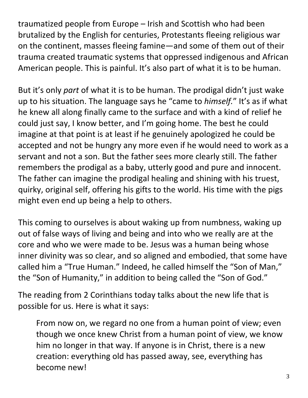traumatized people from Europe – Irish and Scottish who had been brutalized by the English for centuries, Protestants fleeing religious war on the continent, masses fleeing famine—and some of them out of their trauma created traumatic systems that oppressed indigenous and African American people. This is painful. It's also part of what it is to be human.

But it's only *part* of what it is to be human. The prodigal didn't just wake up to his situation. The language says he "came to *himself.*" It's as if what he knew all along finally came to the surface and with a kind of relief he could just say, I know better, and I'm going home. The best he could imagine at that point is at least if he genuinely apologized he could be accepted and not be hungry any more even if he would need to work as a servant and not a son. But the father sees more clearly still. The father remembers the prodigal as a baby, utterly good and pure and innocent. The father can imagine the prodigal healing and shining with his truest, quirky, original self, offering his gifts to the world. His time with the pigs might even end up being a help to others.

This coming to ourselves is about waking up from numbness, waking up out of false ways of living and being and into who we really are at the core and who we were made to be. Jesus was a human being whose inner divinity was so clear, and so aligned and embodied, that some have called him a "True Human." Indeed, he called himself the "Son of Man," the "Son of Humanity," in addition to being called the "Son of God."

The reading from 2 Corinthians today talks about the new life that is possible for us. Here is what it says:

From now on, we regard no one from a human point of view; even though we once knew Christ from a human point of view, we know him no longer in that way. If anyone is in Christ, there is a new creation: everything old has passed away, see, everything has become new!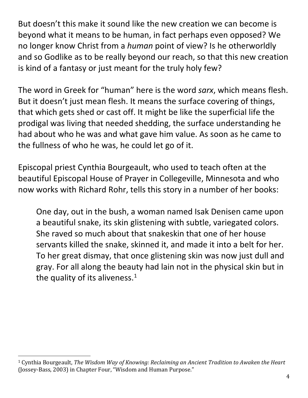But doesn't this make it sound like the new creation we can become is beyond what it means to be human, in fact perhaps even opposed? We no longer know Christ from a *human* point of view? Is he otherworldly and so Godlike as to be really beyond our reach, so that this new creation is kind of a fantasy or just meant for the truly holy few?

The word in Greek for "human" here is the word *sarx*, which means flesh. But it doesn't just mean flesh. It means the surface covering of things, that which gets shed or cast off. It might be like the superficial life the prodigal was living that needed shedding, the surface understanding he had about who he was and what gave him value. As soon as he came to the fullness of who he was, he could let go of it.

Episcopal priest Cynthia Bourgeault, who used to teach often at the beautiful Episcopal House of Prayer in Collegeville, Minnesota and who now works with Richard Rohr, tells this story in a number of her books:

One day, out in the bush, a woman named Isak Denisen came upon a beautiful snake, its skin glistening with subtle, variegated colors. She raved so much about that snakeskin that one of her house servants killed the snake, skinned it, and made it into a belt for her. To her great dismay, that once glistening skin was now just dull and gray. For all along the beauty had lain not in the physical skin but in the quality of its aliveness. $<sup>1</sup>$ </sup>

<span id="page-3-0"></span> <sup>1</sup> Cynthia Bourgeault, *The Wisdom Way of Knowing: Reclaiming an Ancient Tradition to Awaken the Heart*  (Jossey-Bass, 2003) in Chapter Four, "Wisdom and Human Purpose."